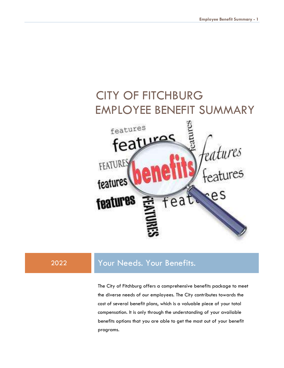# CITY OF FITCHBURGEMPLOYEE BENEFIT SUMMARY features features l<sub>eatures</sub><br>f<sub>eatures</sub> FEATURES features fea **tures**

# 2022 Your Needs. Your Benefits.

The City of Fitchburg offers a comprehensive benefits package to meet the diverse needs of our employees. The City contributes towards the cost of several benefit plans, which is a valuable piece of your total compensation. It is only through the understanding of your available benefits options that you are able to get the most out of your benefit programs.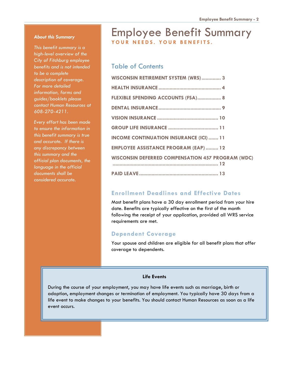#### About this Summary

This benefit summary is a high-level overview of the City of Fitchburg employee benefits and is not intended to be a complete description of coverage. For more detailed information, forms and guides/booklets please contact Human Resources at 608-270-4211.

Every effort has been made to ensure the information in this benefit summary is true and accurate. If there is any discrepancy between this summary and the official plan documents, the language in the official documents shall be considered accurate.

# Employee Benefit Summary YOUR NEEDS, YOUR BENEFITS.

#### Table of Contents

| WISCONSIN RETIREMENT SYSTEM (WRS) 3                      |
|----------------------------------------------------------|
|                                                          |
| FLEXIBLE SPENDING ACCOUNTS (FSA) 8                       |
|                                                          |
|                                                          |
|                                                          |
| <b>INCOME CONTINUATION INSURANCE (ICI)  11</b>           |
| <b>EMPLOYEE ASSISTANCE PROGRAM (EAP)  12</b>             |
| <b>WISCONSIN DEFERRED COMPENSATION 457 PROGRAM (WDC)</b> |
|                                                          |

#### Enrollment Deadlines and Effective Dates

Most benefit plans have a 30 day enrollment period from your hire date. Benefits are typically effective on the first of the month following the receipt of your application, provided all WRS service requirements are met.

#### Dependent Coverage

Your spouse and children are eligible for all benefit plans that offer coverage to dependents.

#### Life Events

During the course of your employment, you may have life events such as marriage, birth or adoption, employment changes or termination of employment. You typically have 30 days from a life event to make changes to your benefits. You should contact Human Resources as soon as a life event occurs.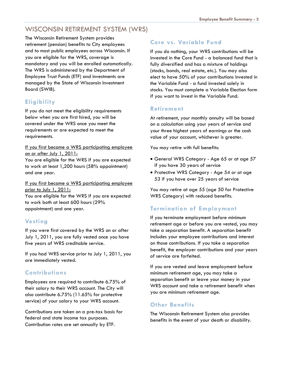# WISCONSIN RETIREMENT SYSTEM (WRS)

The Wisconsin Retirement System provides retirement (pension) benefits to City employees and to most public employees across Wisconsin. If you are eligible for the WRS, coverage is mandatory and you will be enrolled automatically. The WRS is administered by the Department of Employee Trust Funds (ETF) and investments are managed by the State of Wisconsin Investment Board (SWIB).

### **Eligibility**

If you do not meet the eligibility requirements below when you are first hired, you will be covered under the WRS once you meet the requirements or are expected to meet the requirements.

If you first became a WRS participating employee on or after July 1, 2011:

You are eligible for the WRS if you are expected to work at least 1,200 hours (58% appointment) and one year.

If you first became a WRS participating employee prior to July 1, 2011:

You are eligible for the WRS if you are expected to work both at least 600 hours (29% appointment) and one year.

#### **Vesting**

If you were first covered by the WRS on or after July 1, 2011, you are fully vested once you have five years of WRS creditable service.

If you had WRS service prior to July 1, 2011, you are immediately vested.

#### **Contributions**

Employees are required to contribute 6.75% of their salary to their WRS account. The City will also contribute 6.75% (11.65% for protective service) of your salary to your WRS account.

Contributions are taken on a pre-tax basis for federal and state income tax purposes. Contribution rates are set annually by ETF.

#### Core vs. Variable Fund

If you do nothing, your WRS contributions will be invested in the Core Fund - a balanced fund that is fully diversified and has a mixture of holdings (stocks, bonds, real estate, etc.). You may also elect to have 50% of your contributions invested in the Variable Fund - a fund invested solely in stocks. You must complete a Variable Election form if you want to invest in the Variable Fund.

#### Retirement

At retirement, your monthly annuity will be based on a calculation using your years of service and your three highest years of earnings or the cash value of your account, whichever is greater.

You may retire with full benefits:

- General WRS Category Age 65 or at age 57 if you have 30 years of service
- Protective WRS Category Age 54 or at age 53 if you have over 25 years of service

You may retire at age 55 (age 50 for Protective WRS Category) with reduced benefits.

#### Termination of Employment

If you terminate employment before minimum retirement age or before you are vested, you may take a separation benefit. A separation benefit includes your employee contributions and interest on those contributions. If you take a separation benefit, the employer contributions and your years of service are forfeited.

If you are vested and leave employment before minimum retirement age, you may take a separation benefit or leave your money in your WRS account and take a retirement benefit when you are minimum retirement age.

#### Other Benefits

The Wisconsin Retirement System also provides benefits in the event of your death or disability.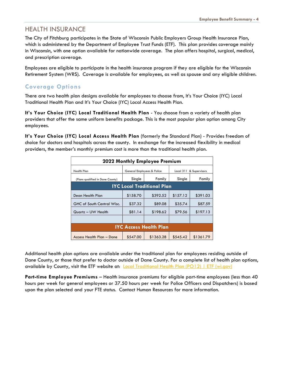#### HEALTH INSURANCE

The City of Fitchburg participates in the State of Wisconsin Public Employers Group Health Insurance Plan, which is administered by the Department of Employee Trust Funds (ETF). This plan provides coverage mainly in Wisconsin, with one option available for nationwide coverage. The plan offers hospital, surgical, medical, and prescription coverage.

Employees are eligible to participate in the health insurance program if they are eligible for the Wisconsin Retirement System (WRS). Coverage is available for employees, as well as spouse and any eligible children.

#### Coverage Options

There are two health plan designs available for employees to choose from, It's Your Choice (IYC) Local Traditional Health Plan and It's Your Choice (IYC) Local Access Health Plan.

It's Your Choice (IYC) Local Traditional Health Plan - You choose from a variety of health plan providers that offer the same uniform benefits package. This is the most popular plan option among City employees.

It's Your Choice (IYC) Local Access Health Plan (formerly the Standard Plan) - Provides freedom of choice for doctors and hospitals across the county. In exchange for the increased flexibility in medical providers, the member's monthly premium cost is more than the traditional health plan.

| 2022 Monthly Employee Premium     |                                   |           |                         |           |  |
|-----------------------------------|-----------------------------------|-----------|-------------------------|-----------|--|
| <b>Health Plan</b>                | General Employees & Police        |           | Local 311 & Supervisors |           |  |
| (Plans qualified in Dane County)  | Single                            | Family    | Single                  | Family    |  |
|                                   | <b>IYC Local Traditional Plan</b> |           |                         |           |  |
| Dean Health Plan                  | \$158.70                          | \$392.52  | \$157.12                | \$391.03  |  |
| <b>GHC of South Central Wisc.</b> | \$37.32                           | \$89.08   | \$35.74                 | \$87.59   |  |
| Quartz - UW Health                | \$81.14                           | \$198.62  | \$79.56                 | \$197.13  |  |
|                                   |                                   |           |                         |           |  |
| <b>IYC Access Health Plan</b>     |                                   |           |                         |           |  |
| Access Health Plan - Dane         | \$547.00                          | \$1363.28 | \$545.42                | \$1361.79 |  |

Additional health plan options are available under the traditional plan for employees residing outside of Dane County, or those that prefer to doctor outside of Dane County. For a complete list of health plan options, available by County, visit the ETF website at: Local Traditional Health Plan (PO12) | ETF (wi.gov)

Part-time Employee Premiums – Health insurance premiums for eligible part-time employees (less than 40 hours per week for general employees or 37.50 hours per week for Police Officers and Dispatchers) is based upon the plan selected and your FTE status. Contact Human Resources for more information.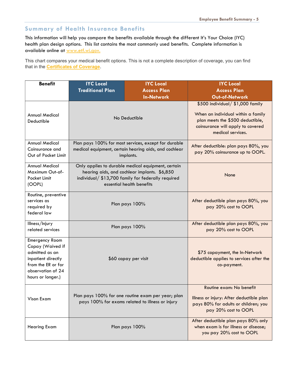#### Summary of Health Insurance Benefits

This information will help you compare the benefits available through the different It's Your Choice (IYC) health plan design options. This list contains the most commonly used benefits. Complete information is available online at www.etf.wi.gov.

This chart compares your medical benefit options. This is not a complete description of coverage, you can find that in the **Certificates of Coverage**.

| <b>Benefit</b>                                                                                                                             | <b>IYC Local</b>                                                                                                                                                                      | <b>IYC Local</b>                                                   | <b>IYC Local</b>                                                                                                                                                     |
|--------------------------------------------------------------------------------------------------------------------------------------------|---------------------------------------------------------------------------------------------------------------------------------------------------------------------------------------|--------------------------------------------------------------------|----------------------------------------------------------------------------------------------------------------------------------------------------------------------|
|                                                                                                                                            | <b>Traditional Plan</b>                                                                                                                                                               | <b>Access Plan</b>                                                 | <b>Access Plan</b>                                                                                                                                                   |
|                                                                                                                                            |                                                                                                                                                                                       | <b>In-Network</b>                                                  | Out-of-Network                                                                                                                                                       |
| <b>Annual Medical</b><br>Deductible                                                                                                        | No Deductible                                                                                                                                                                         |                                                                    | \$500 individual/ \$1,000 family<br>When an individual within a family<br>plan meets the \$500 deductible,<br>coinsurance will apply to covered<br>medical services. |
| <b>Annual Medical</b>                                                                                                                      |                                                                                                                                                                                       | Plan pays 100% for most services, except for durable               | After deductible: plan pays 80%, you                                                                                                                                 |
| Coinsurance and<br>Out of Pocket Limit                                                                                                     |                                                                                                                                                                                       | medical equipment, certain hearing aids, and cochlear<br>implants. | pay 20% coinsurance up to OOPL.                                                                                                                                      |
| <b>Annual Medical</b><br>Maximum Out-of-<br>Pocket Limit<br>(OOPL)                                                                         | Only applies to durable medical equipment, certain<br>hearing aids, and cochlear implants. \$6,850<br>individual/ \$13,700 family for federally required<br>essential health benefits |                                                                    | None                                                                                                                                                                 |
| Routine, preventive<br>services as<br>required by<br>federal law                                                                           | Plan pays 100%                                                                                                                                                                        |                                                                    | After deductible plan pays 80%, you<br>pay 20% cost to OOPL                                                                                                          |
| Illness/Injury<br>related services                                                                                                         | Plan pays 100%                                                                                                                                                                        |                                                                    | After deductible plan pays 80%, you<br>pay 20% cost to OOPL                                                                                                          |
| Emergency Room<br>Copay (Waived if<br>admitted as an<br>inpatient directly<br>from the ER or for<br>observation of 24<br>hours or longer.) | \$60 copay per visit                                                                                                                                                                  |                                                                    | \$75 copayment, the In-Network<br>deductible applies to services after the<br>co-payment.                                                                            |
| Vison Exam                                                                                                                                 | Plan pays 100% for one routine exam per year; plan<br>pays 100% for exams related to illness or injury                                                                                |                                                                    | Routine exam: No benefit<br>Illness or injury: After deductible plan<br>pays 80% for adults or children; you<br>pay 20% cost to OOPL                                 |
| <b>Hearing Exam</b>                                                                                                                        | Plan pays 100%                                                                                                                                                                        |                                                                    | After deductible plan pays 80% only<br>when exam is for illness or disease;<br>you pay 20% cost to OOPL                                                              |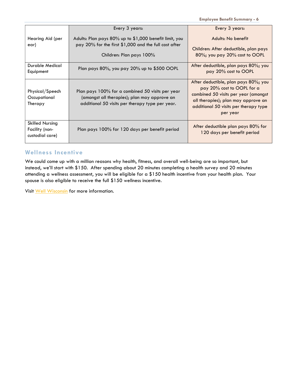Employee Benefit Summary - 6

|                                                             | Every 3 years:                                                                                                                                      | Every 3 years:                                                                                                                                                                                         |
|-------------------------------------------------------------|-----------------------------------------------------------------------------------------------------------------------------------------------------|--------------------------------------------------------------------------------------------------------------------------------------------------------------------------------------------------------|
| Hearing Aid (per                                            | Adults: Plan pays 80% up to \$1,000 benefit limit, you                                                                                              | Adults: No benefit                                                                                                                                                                                     |
| ear)                                                        | pay 20% for the first \$1,000 and the full cost after                                                                                               | Children: After deductible, plan pays                                                                                                                                                                  |
|                                                             | Children: Plan pays 100%                                                                                                                            | 80%; you pay 20% cost to OOPL                                                                                                                                                                          |
| Durable Medical<br>Equipment                                | Plan pays 80%, you pay 20% up to \$500 OOPL                                                                                                         | After deductible, plan pays 80%; you<br>pay 20% cost to OOPL                                                                                                                                           |
| Physical/Speech<br>Occupational<br>Therapy                  | Plan pays 100% for a combined 50 visits per year<br>(amongst all therapies); plan may approve an<br>additional 50 visits per therapy type per year. | After deductible, plan pays 80%; you<br>pay 20% cost to OOPL for a<br>combined 50 visits per year (amongst<br>all therapies); plan may approve an<br>additional 50 visits per therapy type<br>per year |
| <b>Skilled Nursing</b><br>Facility (non-<br>custodial care) | Plan pays 100% for 120 days per benefit period                                                                                                      | After deductible plan pays 80% for<br>120 days per benefit period                                                                                                                                      |

#### Wellness Incentive

We could come up with a million reasons why health, fitness, and overall well-being are so important, but instead, we'll start with \$150. After spending about 20 minutes completing a health survey and 20 minutes attending a wellness assessment, you will be eligible for a \$150 health incentive from your health plan. Your spouse is also eligible to receive the full \$150 wellness incentive.

Visit Well Wisconsin for more information.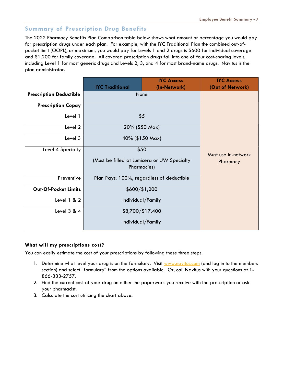#### Summary of Prescription Drug Benefits

The 2022 Pharmacy Benefits Plan Comparison table below shows what amount or percentage you would pay for prescription drugs under each plan. For example, with the IYC Traditional Plan the combined out-ofpocket limit (OOPL), or maximum, you would pay for Levels 1 and 2 drugs is \$600 for individual coverage and \$1,200 for family coverage. All covered prescription drugs fall into one of four cost-sharing levels, including Level 1 for most generic drugs and Levels 2, 3, and 4 for most brand-name drugs. Navitus is the plan administrator.

|                                |                                                                    | <b>IYC Access</b> | <b>IYC Access</b>   |
|--------------------------------|--------------------------------------------------------------------|-------------------|---------------------|
|                                | <b>IYC Traditional</b>                                             | (In-Network)      | (Out of Network)    |
| <b>Prescription Deductible</b> | None                                                               |                   |                     |
| <b>Prescription Copay</b>      |                                                                    |                   |                     |
| Level 1                        |                                                                    | \$5               |                     |
| Level 2                        |                                                                    | 20% (\$50 Max)    |                     |
| Level 3                        | 40% (\$150 Max)                                                    |                   |                     |
| Level 4 Specialty              | \$50                                                               |                   | Must use in-network |
|                                | (Must be filled at Lumicera or UW Specialty<br><b>Pharmacies</b> ) |                   | Pharmacy            |
| Preventive                     | Plan Pays: 100%, regardless of deductible                          |                   |                     |
| <b>Out-Of-Pocket Limits</b>    | \$600/\$1,200                                                      |                   |                     |
| Level 1 & 2                    | Individual/Family                                                  |                   |                     |
| Level 3 & 4                    |                                                                    | \$8,700/\$17,400  |                     |
|                                | Individual/Family                                                  |                   |                     |

#### What will my prescriptions cost?

You can easily estimate the cost of your prescriptions by following these three steps.

- 1. Determine what level your drug is on the formulary. Visit www.navitus.com (and log in to the members section) and select "formulary" from the options available. Or, call Navitus with your questions at 1- 866-333-2757.
- 2. Find the current cost of your drug on either the paperwork you receive with the prescription or ask your pharmacist.
- 3. Calculate the cost utilizing the chart above.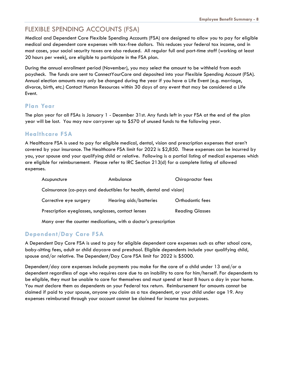# FLEXIBLE SPENDING ACCOUNTS (FSA)

Medical and Dependent Care Flexible Spending Accounts (FSA) are designed to allow you to pay for eligible medical and dependent care expenses with tax-free dollars. This reduces your federal tax income, and in most cases, your social security taxes are also reduced. All regular full and part-time staff (working at least 20 hours per week), are eligible to participate in the FSA plan.

During the annual enrollment period (November), you may select the amount to be withheld from each paycheck. The funds are sent to ConnectYourCare and deposited into your Flexible Spending Account (FSA). Annual election amounts may only be changed during the year if you have a Life Event (e.g. marriage, divorce, birth, etc.) Contact Human Resources within 30 days of any event that may be considered a Life Event.

#### Plan Year

The plan year for all FSAs is January 1 - December 31st. Any funds left in your FSA at the end of the plan year will be lost. You may now carryover up to \$570 of unused funds to the following year.

#### Healthcare FSA

A Healthcare FSA is used to pay for eligible medical, dental, vision and prescription expenses that aren't covered by your insurance. The Healthcare FSA limit for 2022 is \$2,850. These expenses can be incurred by you, your spouse and your qualifying child or relative. Following is a partial listing of medical expenses which are eligible for reimbursement. Please refer to IRC Section 213(d) for a complete listing of allowed expenses.

| Acupuncture                                         | Ambulance                                                           | Chiropractor fees      |
|-----------------------------------------------------|---------------------------------------------------------------------|------------------------|
|                                                     | Coinsurance (co-pays and deductibles for health, dental and vision) |                        |
| Corrective eye surgery                              | Hearing aids/batteries                                              | Orthodontic fees       |
| Prescription eyeglasses, sunglasses, contact lenses |                                                                     | <b>Reading Glasses</b> |
|                                                     |                                                                     |                        |

Many over the counter medications, with a doctor's prescription

#### Dependent/Day Care FSA

A Dependent Day Care FSA is used to pay for eligible dependent care expenses such as after school care, baby-sitting fees, adult or child daycare and preschool. Eligible dependents include your qualifying child, spouse and/or relative. The Dependent/Day Care FSA limit for 2022 is \$5000.

Dependent/day care expenses include payments you make for the care of a child under 13 and/or a dependent regardless of age who requires care due to an inability to care for him/herself. For dependents to be eligible, they must be unable to care for themselves and must spend at least 8 hours a day in your home. You must declare them as dependents on your Federal tax return. Reimbursement for amounts cannot be claimed if paid to your spouse, anyone you claim as a tax dependent, or your child under age 19. Any expenses reimbursed through your account cannot be claimed for income tax purposes.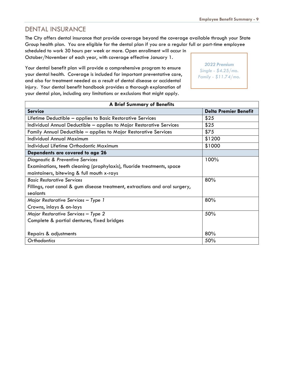#### DENTAL INSURANCE

The City offers dental insurance that provide coverage beyond the coverage available through your State Group health plan. You are eligible for the dental plan if you are a regular full or part-time employee

scheduled to work 30 hours per week or more. Open enrollment will occur in October/November of each year, with coverage effective January 1.

Your dental benefit plan will provide a comprehensive program to ensure your dental health. Coverage is included for important preventative care, and also for treatment needed as a result of dental disease or accidental injury. Your dental benefit handbook provides a thorough explanation of your dental plan, including any limitations or exclusions that might apply.

2022 Premium Single - \$4.25/mo. Family - \$11.74/mo.

| <b>A Brief Summary of Benefits</b>                                          |                              |  |
|-----------------------------------------------------------------------------|------------------------------|--|
| <b>Service</b>                                                              | <b>Delta Premier Benefit</b> |  |
| Lifetime Deductible - applies to Basic Restorative Services                 | \$25                         |  |
| Individual Annual Deductible - applies to Major Restorative Services        | \$25                         |  |
| Family Annual Deductible - applies to Major Restorative Services            | \$75                         |  |
| <b>Individual Annual Maximum</b>                                            | \$1200                       |  |
| Individual Lifetime Orthodontic Maximum                                     | \$1000                       |  |
| Dependents are covered to age 26                                            |                              |  |
| Diagnostic & Preventive Services                                            | 100%                         |  |
| Examinations, teeth cleaning (prophylaxis), fluoride treatments, space      |                              |  |
| maintainers, bitewing & full mouth x-rays                                   |                              |  |
| 80%<br><b>Basic Restorative Services</b>                                    |                              |  |
| Fillings, root canal & gum disease treatment, extractions and oral surgery, |                              |  |
| sealants                                                                    |                              |  |
| 80%<br>Major Restorative Services - Type 1                                  |                              |  |
| Crowns, inlays & on-lays                                                    |                              |  |
| 50%<br>Major Restorative Services - Type 2                                  |                              |  |
| Complete & partial dentures, fixed bridges                                  |                              |  |
|                                                                             |                              |  |
| 80%<br>Repairs & adjustments                                                |                              |  |
| 50%<br>Orthodontics                                                         |                              |  |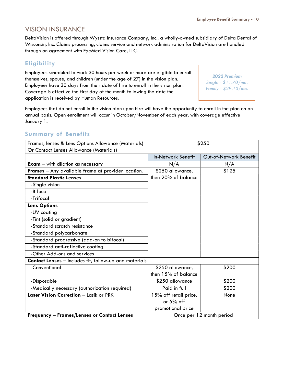### VISION INSURANCE

DeltaVision is offered through Wyssta Insurance Company, Inc., a wholly-owned subsidiary of Delta Dental of Wisconsin, Inc. Claims processing, claims service and network administration for DeltaVision are handled through an agreement with EyeMed Vision Care, LLC.

#### **Eligibility**

Employees scheduled to work 30 hours per week or more are eligible to enroll themselves, spouse, and children (under the age of 27) in the vision plan. Employees have 30 days from their date of hire to enroll in the vision plan. Coverage is effective the first day of the month following the date the application is received by Human Resources.

2022 Premium Single - \$11.70/mo. Family - \$29.13/mo.

Employees that do not enroll in the vision plan upon hire will have the opportunity to enroll in the plan on an annual basis. Open enrollment will occur in October/November of each year, with coverage effective January 1.

#### Summary of Benefits

| Frames, lenses & Lens Options Allowance (Materials)     | \$250                     |                          |
|---------------------------------------------------------|---------------------------|--------------------------|
| Or Contact Lenses Allowance (Materials)                 |                           |                          |
|                                                         | <b>In-Network Benefit</b> | Out-of-Network Benefit   |
| <b>Exam</b> $-$ with dilation as necessary              | N/A                       | N/A                      |
| Frames - Any available frame at provider location.      | \$250 allowance,          | \$125                    |
| <b>Standard Plastic Lenses</b>                          | then 20% of balance       |                          |
| -Single vision                                          |                           |                          |
| -Bifocal                                                |                           |                          |
| -Trifocal                                               |                           |                          |
| <b>Lens Options</b>                                     |                           |                          |
| -UV coating                                             |                           |                          |
| -Tint (solid or gradient)                               |                           |                          |
| -Standard scratch resistance                            |                           |                          |
| -Standard polycarbonate                                 |                           |                          |
| -Standard progressive (add-on to bifocal)               |                           |                          |
| -Standard anti-reflective coating                       |                           |                          |
| -Other Add-ons and services                             |                           |                          |
| Contact Lenses - Includes fit, follow-up and materials. |                           |                          |
| -Conventional                                           | \$250 allowance,          | \$200                    |
|                                                         | then 15% of balance       |                          |
| -Disposable                                             | \$250 allowance           | \$200                    |
| -Medically necessary (authorization required)           | Paid in full              | \$200                    |
| Laser Vision Correction - Lasik or PRK                  | 15% off retail price,     | None                     |
|                                                         | or 5% off                 |                          |
|                                                         | promotional price         |                          |
| <b>Frequency - Frames/Lenses or Contact Lenses</b>      |                           | Once per 12 month period |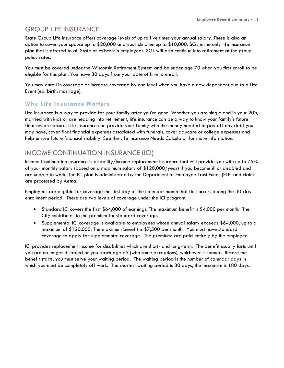### GROUP LIFE INSURANCE

State Group Life Insurance offers coverage levels of up to five times your annual salary. There is also an option to cover your spouse up to \$20,000 and your children up to \$10,000. SGL is the only life insurance plan that is offered to all State of Wisconsin employees. SGL will also continue into retirement at the group policy rates.

You must be covered under the Wisconsin Retirement System and be under age 70 when you first enroll to be eligible for this plan. You have 30 days from your date of hire to enroll.

You may enroll in coverage or increase coverage by one level when you have a new dependent due to a Life Event (ex. birth, marriage).

#### Why Life Insurance Matters

Life insurance is a way to provide for your family after you're gone. Whether you are single and in your 20's, married with kids or are heading into retirement, life insurance can be a way to know your family's future finances are secure. Life insurance can provide your family with the money needed to pay off any debt you may have, cover final financial expenses associated with funerals, cover daycare or college expenses and help ensure future financial stability. See the Life Insurance Needs Calculator for more information.

# INCOME CONTINUATION INSURANCE (ICI)

Income Continuation Insurance is disability/income replacement insurance that will provide you with up to 75% of your monthly salary (based on a maximum salary of \$120,000/year) if you become ill or disabled and are unable to work. The ICI plan is administered by the Department of Employee Trust Funds (ETF) and claims are processed by Aetna.

Employees are eligible for coverage the first day of the calendar month that first occurs during the 30-day enrollment period. There are two levels of coverage under the ICI program:

- Standard ICI covers the first \$64,000 of earnings. The maximum benefit is \$4,000 per month. The City contributes to the premium for standard coverage.
- Supplemental ICI coverage is available to employees whose annual salary exceeds \$64,000, up to a maximum of \$120,000. The maximum benefit is \$7,500 per month. You must have standard coverage to apply for supplemental coverage. The premiums are paid entirely by the employee.

ICI provides replacement income for disabilities which are short- and long-term. The benefit usually lasts until you are no longer disabled or you reach age 65 (with some exceptions), whichever is sooner. Before the benefit starts, you must serve your waiting period. The waiting period is the number of calendar days in which you must be completely off work. The shortest waiting period is 30 days, the maximum is 180 days.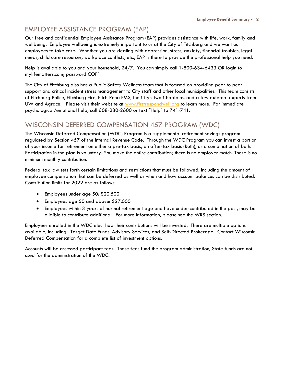# EMPLOYEE ASSISTANCE PROGRAM (EAP)

Our free and confidential Employee Assistance Program (EAP) provides assistance with life, work, family and wellbeing. Employee wellbeing is extremely important to us at the City of Fitchburg and we want our employees to take care. Whether you are dealing with depression, stress, anxiety, financial troubles, legal needs, child care resources, workplace conflicts, etc., EAP is there to provide the professional help you need.

Help is available to you and your household, 24/7. You can simply call 1-800-634-6433 OR login to mylifematters.com; password COF1.

The City of Fitchburg also has a Public Safety Wellness team that is focused on providing peer to peer support and critical incident stress management to City staff and other local municipalities. This team consists of Fitchburg Police, Fitchburg Fire, Fitch-Rona EMS, the City's two Chaplains, and a few external experts from UW and Agrace. Please visit their website at www.firstrespondwell.org to learn more. For immediate psychological/emotional help, call 608-280-2600 or text "Help" to 741-741.

# WISCONSIN DEFERRED COMPENSATION 457 PROGRAM (WDC)

The Wisconsin Deferred Compensation (WDC) Program is a supplemental retirement savings program regulated by Section 457 of the Internal Revenue Code. Through the WDC Program you can invest a portion of your income for retirement on either a pre-tax basis, an after-tax basis (Roth), or a combination of both. Participation in the plan is voluntary. You make the entire contribution; there is no employer match. There is no minimum monthly contribution.

Federal tax law sets forth certain limitations and restrictions that must be followed, including the amount of employee compensation that can be deferred as well as when and how account balances can be distributed. Contribution limits for 2022 are as follows:

- Employees under age 50: \$20,500
- Employees age 50 and above: \$27,000
- Employees within 3 years of normal retirement age and have under-contributed in the past, may be eligible to contribute additional. For more information, please see the WRS section.

Employees enrolled in the WDC elect how their contributions will be invested. There are multiple options available, including: Target Date Funds, Advisory Services, and Self-Directed Brokerage. Contact Wisconsin Deferred Compensation for a complete list of investment options.

Accounts will be assessed participant fees. These fees fund the program administration, State funds are not used for the administration of the WDC.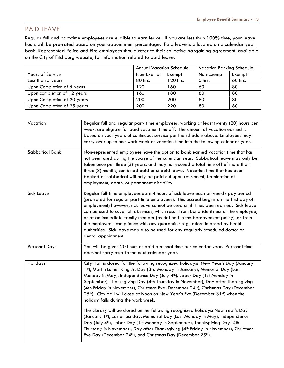# PAID LEAVE

Regular full and part-time employees are eligible to earn leave. If you are less than 100% time, your leave hours will be pro-rated based on your appointment percentage. Paid leave is allocated on a calendar year basis. Represented Police and Fire employees should refer to their collective bargaining agreement, available on the City of Fitchburg website, for information related to paid leave.

|                             | <b>Vacation Banking Schedule</b><br><b>Annual Vacation Schedule</b> |          |            |         |
|-----------------------------|---------------------------------------------------------------------|----------|------------|---------|
| <b>Years of Service</b>     | Non-Exempt                                                          | Exempt   | Non-Exempt | Exempt  |
| Less than 5 years           | 80 hrs.                                                             | 120 hrs. | 0 hrs.     | 60 hrs. |
| Upon Completion of 5 years  | 120                                                                 | 160      | 60         | 80      |
| Upon completion of 12 years | 160                                                                 | 180      | 80         | 80      |
| Upon Completion of 20 years | 200                                                                 | 200      | 80         | 80      |
| Upon Completion of 25 years | 200                                                                 | 220      | 80         | 80      |

| Vacation               | Regular full and regular part- time employees, working at least twenty (20) hours per<br>week, are eligible for paid vacation time off. The amount of vacation earned is<br>based on your years of continuous service per the schedule above. Employees may<br>carry-over up to one work-week of vacation time into the following calendar year.                                                                                                                                                                                                                                                                                      |
|------------------------|---------------------------------------------------------------------------------------------------------------------------------------------------------------------------------------------------------------------------------------------------------------------------------------------------------------------------------------------------------------------------------------------------------------------------------------------------------------------------------------------------------------------------------------------------------------------------------------------------------------------------------------|
| <b>Sabbatical Bank</b> | Non-represented employees have the option to bank earned vacation time that has<br>not been used during the course of the calendar year. Sabbatical leave may only be<br>taken once per three (3) years, and may not exceed a total time off of more than<br>three (3) months, combined paid or unpaid leave. Vacation time that has been<br>banked as sabbatical will only be paid out upon retirement, termination of<br>employment, death, or permanent disability.                                                                                                                                                                |
| Sick Leave             | Regular full-time employees earn 4 hours of sick leave each bi-weekly pay period<br>(pro-rated for regular part-time employees). This accrual begins on the first day of<br>employment; however, sick leave cannot be used until it has been earned. Sick leave<br>can be used to cover all absences, which result from bonafide illness of the employee,<br>or of an immediate family member (as defined in the bereavement policy), or from<br>the employee's compliance with any quarantine regulations imposed by health<br>authorities. Sick leave may also be used for any regularly scheduled doctor or<br>dental appointment. |
| <b>Personal Days</b>   | You will be given 20 hours of paid personal time per calendar year. Personal time<br>does not carry over to the next calendar year.                                                                                                                                                                                                                                                                                                                                                                                                                                                                                                   |
| Holidays               | City Hall is closed for the following recognized holidays: New Year's Day (January<br>1st), Martin Luther King Jr. Day (3rd Monday in January), Memorial Day (Last<br>Monday in May), Independence Day (July 4th), Labor Day (1st Monday in<br>September), Thanksgiving Day (4th Thursday in November), Day after Thanksgiving<br>(4th Friday in November), Christmas Eve (December 24th), Christmas Day (December<br>25 <sup>th</sup> ). City Hall will close at Noon on New Year's Eve (December 31 <sup>st</sup> ) when the<br>holiday falls during the work week.                                                                 |
|                        | The Library will be closed on the following recognized holidays: New Year's Day<br>(January 1st), Easter Sunday, Memorial Day (Last Monday in May), Independence<br>Day (July 4 <sup>th</sup> ), Labor Day (1st Monday in September), Thanksgiving Day (4th<br>Thursday in November), Day after Thanksgiving (4 <sup>th</sup> Friday in November), Christmas<br>Eve Day (December 24 <sup>th</sup> ), and Christmas Day (December 25 <sup>th</sup> ).                                                                                                                                                                                 |